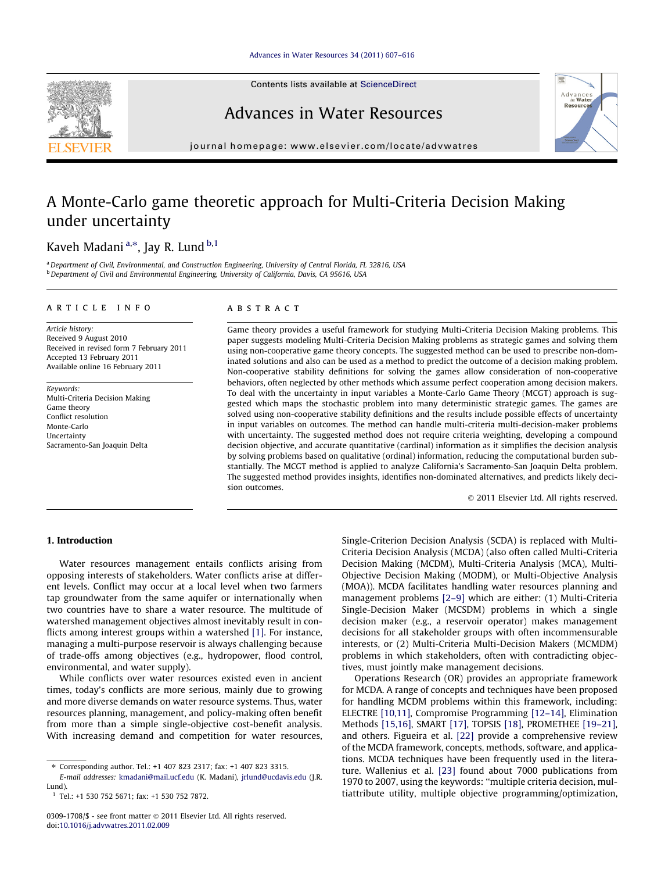Contents lists available at [ScienceDirect](http://www.sciencedirect.com/science/journal/03091708)

# Advances in Water Resources



journal homepage: [www.elsevier.com/locate/advwatres](http://www.elsevier.com/locate/advwatres)

# A Monte-Carlo game theoretic approach for Multi-Criteria Decision Making under uncertainty

# Kaveh Madani <sup>a,</sup>\*, Jay R. Lund <sup>b,1</sup>

a Department of Civil, Environmental, and Construction Engineering, University of Central Florida, FL 32816, USA <sup>b</sup> Department of Civil and Environmental Engineering, University of California, Davis, CA 95616, USA

#### article info

Article history: Received 9 August 2010 Received in revised form 7 February 2011 Accepted 13 February 2011 Available online 16 February 2011

Keywords: Multi-Criteria Decision Making Game theory Conflict resolution Monte-Carlo Uncertainty Sacramento-San Joaquin Delta

#### ABSTRACT

Game theory provides a useful framework for studying Multi-Criteria Decision Making problems. This paper suggests modeling Multi-Criteria Decision Making problems as strategic games and solving them using non-cooperative game theory concepts. The suggested method can be used to prescribe non-dominated solutions and also can be used as a method to predict the outcome of a decision making problem. Non-cooperative stability definitions for solving the games allow consideration of non-cooperative behaviors, often neglected by other methods which assume perfect cooperation among decision makers. To deal with the uncertainty in input variables a Monte-Carlo Game Theory (MCGT) approach is suggested which maps the stochastic problem into many deterministic strategic games. The games are solved using non-cooperative stability definitions and the results include possible effects of uncertainty in input variables on outcomes. The method can handle multi-criteria multi-decision-maker problems with uncertainty. The suggested method does not require criteria weighting, developing a compound decision objective, and accurate quantitative (cardinal) information as it simplifies the decision analysis by solving problems based on qualitative (ordinal) information, reducing the computational burden substantially. The MCGT method is applied to analyze California's Sacramento-San Joaquin Delta problem. The suggested method provides insights, identifies non-dominated alternatives, and predicts likely decision outcomes.

- 2011 Elsevier Ltd. All rights reserved.

## 1. Introduction

Water resources management entails conflicts arising from opposing interests of stakeholders. Water conflicts arise at different levels. Conflict may occur at a local level when two farmers tap groundwater from the same aquifer or internationally when two countries have to share a water resource. The multitude of watershed management objectives almost inevitably result in conflicts among interest groups within a watershed [\[1\]](#page-8-0). For instance, managing a multi-purpose reservoir is always challenging because of trade-offs among objectives (e.g., hydropower, flood control, environmental, and water supply).

While conflicts over water resources existed even in ancient times, today's conflicts are more serious, mainly due to growing and more diverse demands on water resource systems. Thus, water resources planning, management, and policy-making often benefit from more than a simple single-objective cost-benefit analysis. With increasing demand and competition for water resources,

⇑ Corresponding author. Tel.: +1 407 823 2317; fax: +1 407 823 3315.

E-mail addresses: [kmadani@mail.ucf.edu](mailto:kmadani@mail.ucf.edu) (K. Madani), [jrlund@ucdavis.edu](mailto:jrlund@ucdavis.edu) (J.R. Lund).

Single-Criterion Decision Analysis (SCDA) is replaced with Multi-Criteria Decision Analysis (MCDA) (also often called Multi-Criteria Decision Making (MCDM), Multi-Criteria Analysis (MCA), Multi-Objective Decision Making (MODM), or Multi-Objective Analysis (MOA)). MCDA facilitates handling water resources planning and management problems [\[2–9\]](#page-8-0) which are either: (1) Multi-Criteria Single-Decision Maker (MCSDM) problems in which a single decision maker (e.g., a reservoir operator) makes management decisions for all stakeholder groups with often incommensurable interests, or (2) Multi-Criteria Multi-Decision Makers (MCMDM) problems in which stakeholders, often with contradicting objectives, must jointly make management decisions.

Operations Research (OR) provides an appropriate framework for MCDA. A range of concepts and techniques have been proposed for handling MCDM problems within this framework, including: ELECTRE [\[10,11\],](#page-8-0) Compromise Programming [\[12–14\],](#page-8-0) Elimination Methods [\[15,16\],](#page-8-0) SMART [\[17\]](#page-8-0), TOPSIS [\[18\]](#page-8-0), PROMETHEE [\[19–21\],](#page-9-0) and others. Figueira et al. [\[22\]](#page-9-0) provide a comprehensive review of the MCDA framework, concepts, methods, software, and applications. MCDA techniques have been frequently used in the literature. Wallenius et al. [\[23\]](#page-9-0) found about 7000 publications from 1970 to 2007, using the keywords: ''multiple criteria decision, multiattribute utility, multiple objective programming/optimization,

 $1$  Tel.: +1 530 752 5671; fax: +1 530 752 7872.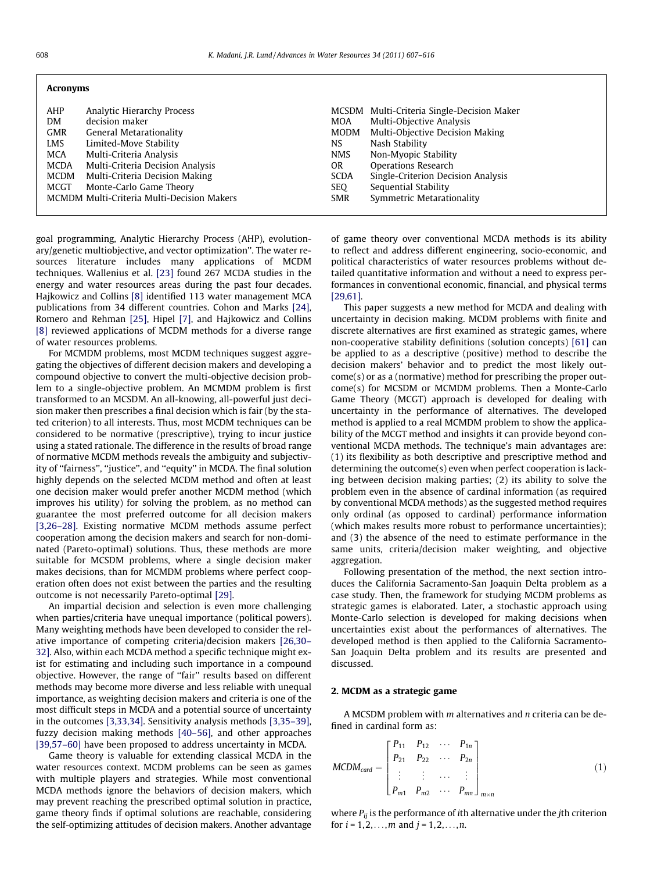<span id="page-1-0"></span>

| <b>Acronyms</b>                                                                                                                                                                                                                                                                                                                                                                                                                                 |                                                                                                                                                                                                                                                                       |  |  |  |  |  |  |
|-------------------------------------------------------------------------------------------------------------------------------------------------------------------------------------------------------------------------------------------------------------------------------------------------------------------------------------------------------------------------------------------------------------------------------------------------|-----------------------------------------------------------------------------------------------------------------------------------------------------------------------------------------------------------------------------------------------------------------------|--|--|--|--|--|--|
| AHP<br>Analytic Hierarchy Process<br>decision maker<br>DM<br>MOA<br><b>GMR</b><br>General Metarationality<br><b>MODM</b><br>Limited-Move Stability<br><b>LMS</b><br>NS.<br>Multi-Criteria Analysis<br>MCA<br><b>NMS</b><br>Multi-Criteria Decision Analysis<br>MCDA<br>0R<br>Multi-Criteria Decision Making<br>MCDM<br><b>SCDA</b><br>Monte-Carlo Game Theory<br>MCGT<br>SEQ<br><b>MCMDM Multi-Criteria Multi-Decision Makers</b><br><b>SMR</b> | MCSDM Multi-Criteria Single-Decision Maker<br>Multi-Objective Analysis<br>Multi-Objective Decision Making<br>Nash Stability<br>Non-Myopic Stability<br>Operations Research<br>Single-Criterion Decision Analysis<br>Sequential Stability<br>Symmetric Metarationality |  |  |  |  |  |  |

goal programming, Analytic Hierarchy Process (AHP), evolutionary/genetic multiobjective, and vector optimization''. The water resources literature includes many applications of MCDM techniques. Wallenius et al. [\[23\]](#page-9-0) found 267 MCDA studies in the energy and water resources areas during the past four decades. Hajkowicz and Collins [\[8\]](#page-8-0) identified 113 water management MCA publications from 34 different countries. Cohon and Marks [\[24\],](#page-9-0) Romero and Rehman [\[25\],](#page-9-0) Hipel [\[7\],](#page-8-0) and Hajkowicz and Collins [\[8\]](#page-8-0) reviewed applications of MCDM methods for a diverse range of water resources problems.

For MCMDM problems, most MCDM techniques suggest aggregating the objectives of different decision makers and developing a compound objective to convert the multi-objective decision problem to a single-objective problem. An MCMDM problem is first transformed to an MCSDM. An all-knowing, all-powerful just decision maker then prescribes a final decision which is fair (by the stated criterion) to all interests. Thus, most MCDM techniques can be considered to be normative (prescriptive), trying to incur justice using a stated rationale. The difference in the results of broad range of normative MCDM methods reveals the ambiguity and subjectivity of ''fairness'', ''justice'', and ''equity'' in MCDA. The final solution highly depends on the selected MCDM method and often at least one decision maker would prefer another MCDM method (which improves his utility) for solving the problem, as no method can guarantee the most preferred outcome for all decision makers [\[3,26–28\]](#page-8-0). Existing normative MCDM methods assume perfect cooperation among the decision makers and search for non-dominated (Pareto-optimal) solutions. Thus, these methods are more suitable for MCSDM problems, where a single decision maker makes decisions, than for MCMDM problems where perfect cooperation often does not exist between the parties and the resulting outcome is not necessarily Pareto-optimal [\[29\]](#page-9-0).

An impartial decision and selection is even more challenging when parties/criteria have unequal importance (political powers). Many weighting methods have been developed to consider the relative importance of competing criteria/decision makers [\[26,30–](#page-9-0) [32\]](#page-9-0). Also, within each MCDA method a specific technique might exist for estimating and including such importance in a compound objective. However, the range of ''fair'' results based on different methods may become more diverse and less reliable with unequal importance, as weighting decision makers and criteria is one of the most difficult steps in MCDA and a potential source of uncertainty in the outcomes [\[3,33,34\]](#page-8-0). Sensitivity analysis methods [\[3,35–39\],](#page-8-0) fuzzy decision making methods [\[40–56\]](#page-9-0), and other approaches [\[39,57–60\]](#page-9-0) have been proposed to address uncertainty in MCDA.

Game theory is valuable for extending classical MCDA in the water resources context. MCDM problems can be seen as games with multiple players and strategies. While most conventional MCDA methods ignore the behaviors of decision makers, which may prevent reaching the prescribed optimal solution in practice, game theory finds if optimal solutions are reachable, considering the self-optimizing attitudes of decision makers. Another advantage of game theory over conventional MCDA methods is its ability to reflect and address different engineering, socio-economic, and political characteristics of water resources problems without detailed quantitative information and without a need to express performances in conventional economic, financial, and physical terms [\[29,61\].](#page-9-0)

This paper suggests a new method for MCDA and dealing with uncertainty in decision making. MCDM problems with finite and discrete alternatives are first examined as strategic games, where non-cooperative stability definitions (solution concepts) [\[61\]](#page-9-0) can be applied to as a descriptive (positive) method to describe the decision makers' behavior and to predict the most likely outcome(s) or as a (normative) method for prescribing the proper outcome(s) for MCSDM or MCMDM problems. Then a Monte-Carlo Game Theory (MCGT) approach is developed for dealing with uncertainty in the performance of alternatives. The developed method is applied to a real MCMDM problem to show the applicability of the MCGT method and insights it can provide beyond conventional MCDA methods. The technique's main advantages are: (1) its flexibility as both descriptive and prescriptive method and determining the outcome(s) even when perfect cooperation is lacking between decision making parties; (2) its ability to solve the problem even in the absence of cardinal information (as required by conventional MCDA methods) as the suggested method requires only ordinal (as opposed to cardinal) performance information (which makes results more robust to performance uncertainties); and (3) the absence of the need to estimate performance in the same units, criteria/decision maker weighting, and objective aggregation.

Following presentation of the method, the next section introduces the California Sacramento-San Joaquin Delta problem as a case study. Then, the framework for studying MCDM problems as strategic games is elaborated. Later, a stochastic approach using Monte-Carlo selection is developed for making decisions when uncertainties exist about the performances of alternatives. The developed method is then applied to the California Sacramento-San Joaquin Delta problem and its results are presented and discussed.

### 2. MCDM as a strategic game

A MCSDM problem with  $m$  alternatives and  $n$  criteria can be defined in cardinal form as:

$$
MCDM_{card} = \begin{bmatrix} P_{11} & P_{12} & \cdots & P_{1n} \\ P_{21} & P_{22} & \cdots & P_{2n} \\ \vdots & \vdots & \cdots & \vdots \\ P_{m1} & P_{m2} & \cdots & P_{mn} \end{bmatrix}_{m \times n}
$$
 (1)

where  $P_{ii}$  is the performance of ith alternative under the jth criterion for  $i = 1, 2, \ldots, m$  and  $j = 1, 2, \ldots, n$ .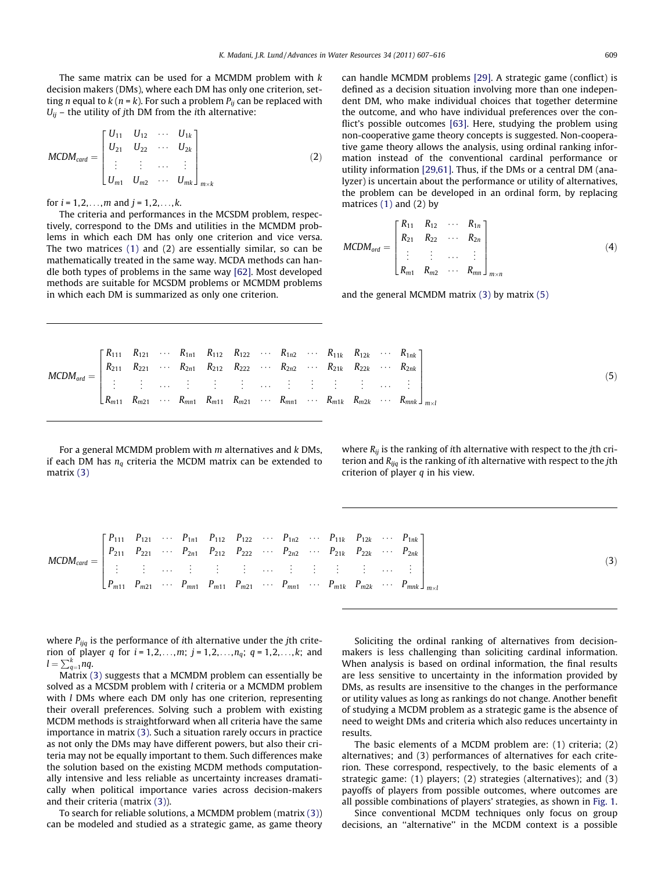The same matrix can be used for a MCMDM problem with  $k$ decision makers (DMs), where each DM has only one criterion, setting *n* equal to  $k (n = k)$ . For such a problem  $P_{ii}$  can be replaced with  $U_{ii}$  – the utility of jth DM from the ith alternative:

$$
MCDM_{card} = \begin{bmatrix} U_{11} & U_{12} & \cdots & U_{1k} \\ U_{21} & U_{22} & \cdots & U_{2k} \\ \vdots & \vdots & \cdots & \vdots \\ U_{m1} & U_{m2} & \cdots & U_{mk} \end{bmatrix}_{m \times k}
$$
 (2)

for  $i = 1, 2, ..., m$  and  $j = 1, 2, ..., k$ .

The criteria and performances in the MCSDM problem, respectively, correspond to the DMs and utilities in the MCMDM problems in which each DM has only one criterion and vice versa. The two matrices [\(1\)](#page-1-0) and (2) are essentially similar, so can be mathematically treated in the same way. MCDA methods can handle both types of problems in the same way [\[62\].](#page-9-0) Most developed methods are suitable for MCSDM problems or MCMDM problems in which each DM is summarized as only one criterion.

can handle MCMDM problems [\[29\]](#page-9-0). A strategic game (conflict) is defined as a decision situation involving more than one independent DM, who make individual choices that together determine the outcome, and who have individual preferences over the conflict's possible outcomes [\[63\]](#page-9-0). Here, studying the problem using non-cooperative game theory concepts is suggested. Non-cooperative game theory allows the analysis, using ordinal ranking information instead of the conventional cardinal performance or utility information [\[29,61\]](#page-9-0). Thus, if the DMs or a central DM (analyzer) is uncertain about the performance or utility of alternatives, the problem can be developed in an ordinal form, by replacing matrices [\(1\)](#page-1-0) and (2) by

$$
MCDM_{ord} = \begin{bmatrix} R_{11} & R_{12} & \cdots & R_{1n} \\ R_{21} & R_{22} & \cdots & R_{2n} \\ \vdots & \vdots & \cdots & \vdots \\ R_{m1} & R_{m2} & \cdots & R_{mn} \end{bmatrix}_{m \times n}
$$
 (4)

and the general MCMDM matrix (3) by matrix (5)

| $[R_{m11} \ R_{m21} \ \cdots \ R_{mn1} \ R_{m11} \ R_{m21} \ \cdots \ R_{mn1} \ \cdots \ R_{m1k} \ R_{m2k} \ \cdots \ R_{mnk} \end{bmatrix}_{m \times l}$ |  |  |  |  |  |  | $\lceil R_{111} \quad R_{121} \quad \cdots \quad R_{1n1} \quad R_{112} \quad R_{122} \quad \cdots \quad R_{1n2} \quad \cdots \quad R_{11k} \quad R_{12k} \quad \cdots \quad R_{1nk} \rceil$ |
|-----------------------------------------------------------------------------------------------------------------------------------------------------------|--|--|--|--|--|--|---------------------------------------------------------------------------------------------------------------------------------------------------------------------------------------------|
|                                                                                                                                                           |  |  |  |  |  |  |                                                                                                                                                                                             |

For a general MCMDM problem with m alternatives and k DMs, if each DM has  $n_q$  criteria the MCDM matrix can be extended to matrix (3)

where  $R_{ii}$  is the ranking of ith alternative with respect to the jth criterion and  $R_{ijq}$  is the ranking of ith alternative with respect to the jth criterion of player  $q$  in his view.

$$
MCDM_{card} = \begin{bmatrix} P_{111} & P_{121} & \cdots & P_{1n1} & P_{112} & P_{122} & \cdots & P_{1n2} & \cdots & P_{11k} & P_{12k} & \cdots & P_{1nk} \\ P_{211} & P_{221} & \cdots & P_{2n1} & P_{212} & P_{222} & \cdots & P_{2n2} & \cdots & P_{21k} & P_{22k} & \cdots & P_{2nk} \\ \vdots & \vdots & \cdots & \vdots & \vdots & \vdots & \ddots & \vdots & \vdots & \vdots & \cdots & \vdots \\ P_{m11} & P_{m21} & \cdots & P_{mn1} & P_{m11} & P_{m21} & \cdots & P_{mn1} & \cdots & P_{m1k} & P_{m2k} & \cdots & P_{mnk} \end{bmatrix}_{m \times l}
$$
\n(3)

where  $P_{ijq}$  is the performance of ith alternative under the jth criterion of player q for  $i = 1, 2, ..., m$ ;  $j = 1, 2, ..., n_q$ ;  $q = 1, 2, ..., k$ ; and  $l = \sum_{q=1}^{k} nq.$ 

Matrix (3) suggests that a MCMDM problem can essentially be solved as a MCSDM problem with *l* criteria or a MCMDM problem with *l* DMs where each DM only has one criterion, representing their overall preferences. Solving such a problem with existing MCDM methods is straightforward when all criteria have the same importance in matrix (3). Such a situation rarely occurs in practice as not only the DMs may have different powers, but also their criteria may not be equally important to them. Such differences make the solution based on the existing MCDM methods computationally intensive and less reliable as uncertainty increases dramatically when political importance varies across decision-makers and their criteria (matrix (3)).

To search for reliable solutions, a MCMDM problem (matrix (3)) can be modeled and studied as a strategic game, as game theory

Soliciting the ordinal ranking of alternatives from decisionmakers is less challenging than soliciting cardinal information. When analysis is based on ordinal information, the final results are less sensitive to uncertainty in the information provided by DMs, as results are insensitive to the changes in the performance or utility values as long as rankings do not change. Another benefit of studying a MCDM problem as a strategic game is the absence of need to weight DMs and criteria which also reduces uncertainty in results.

The basic elements of a MCDM problem are: (1) criteria; (2) alternatives; and (3) performances of alternatives for each criterion. These correspond, respectively, to the basic elements of a strategic game: (1) players; (2) strategies (alternatives); and (3) payoffs of players from possible outcomes, where outcomes are all possible combinations of players' strategies, as shown in [Fig. 1.](#page-3-0)

Since conventional MCDM techniques only focus on group decisions, an ''alternative'' in the MCDM context is a possible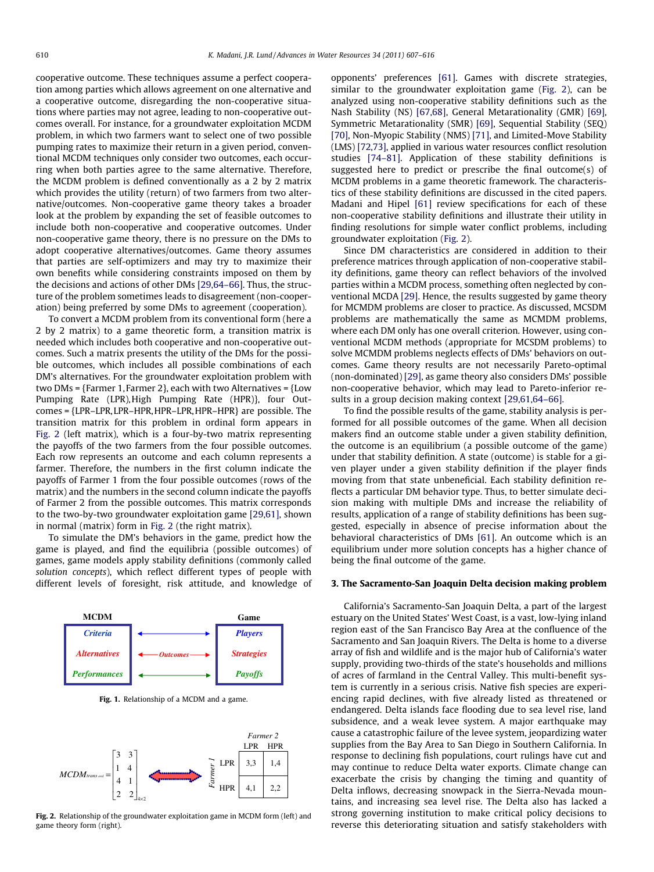<span id="page-3-0"></span>cooperative outcome. These techniques assume a perfect cooperation among parties which allows agreement on one alternative and a cooperative outcome, disregarding the non-cooperative situations where parties may not agree, leading to non-cooperative outcomes overall. For instance, for a groundwater exploitation MCDM problem, in which two farmers want to select one of two possible pumping rates to maximize their return in a given period, conventional MCDM techniques only consider two outcomes, each occurring when both parties agree to the same alternative. Therefore, the MCDM problem is defined conventionally as a 2 by 2 matrix which provides the utility (return) of two farmers from two alternative/outcomes. Non-cooperative game theory takes a broader look at the problem by expanding the set of feasible outcomes to include both non-cooperative and cooperative outcomes. Under non-cooperative game theory, there is no pressure on the DMs to adopt cooperative alternatives/outcomes. Game theory assumes that parties are self-optimizers and may try to maximize their own benefits while considering constraints imposed on them by the decisions and actions of other DMs [\[29,64–66\]](#page-9-0). Thus, the structure of the problem sometimes leads to disagreement (non-cooperation) being preferred by some DMs to agreement (cooperation).

To convert a MCDM problem from its conventional form (here a 2 by 2 matrix) to a game theoretic form, a transition matrix is needed which includes both cooperative and non-cooperative outcomes. Such a matrix presents the utility of the DMs for the possible outcomes, which includes all possible combinations of each DM's alternatives. For the groundwater exploitation problem with two DMs = {Farmer 1, Farmer 2}, each with two Alternatives = {Low Pumping Rate (LPR),High Pumping Rate (HPR)}, four Outcomes = {LPR–LPR, LPR–HPR,HPR–LPR,HPR–HPR} are possible. The transition matrix for this problem in ordinal form appears in Fig. 2 (left matrix), which is a four-by-two matrix representing the payoffs of the two farmers from the four possible outcomes. Each row represents an outcome and each column represents a farmer. Therefore, the numbers in the first column indicate the payoffs of Farmer 1 from the four possible outcomes (rows of the matrix) and the numbers in the second column indicate the payoffs of Farmer 2 from the possible outcomes. This matrix corresponds to the two-by-two groundwater exploitation game [\[29,61\]](#page-9-0), shown in normal (matrix) form in Fig. 2 (the right matrix).

To simulate the DM's behaviors in the game, predict how the game is played, and find the equilibria (possible outcomes) of games, game models apply stability definitions (commonly called solution concepts), which reflect different types of people with different levels of foresight, risk attitude, and knowledge of



Fig. 1. Relationship of a MCDM and a game.



Fig. 2. Relationship of the groundwater exploitation game in MCDM form (left) and game theory form (right).

opponents' preferences [\[61\].](#page-9-0) Games with discrete strategies, similar to the groundwater exploitation game (Fig. 2), can be analyzed using non-cooperative stability definitions such as the Nash Stability (NS) [\[67,68\]](#page-9-0), General Metarationality (GMR) [\[69\],](#page-9-0) Symmetric Metarationality (SMR) [\[69\]](#page-9-0), Sequential Stability (SEQ) [\[70\]](#page-9-0), Non-Myopic Stability (NMS) [\[71\],](#page-9-0) and Limited-Move Stability (LMS) [\[72,73\],](#page-9-0) applied in various water resources conflict resolution studies [\[74–81\].](#page-9-0) Application of these stability definitions is suggested here to predict or prescribe the final outcome(s) of MCDM problems in a game theoretic framework. The characteristics of these stability definitions are discussed in the cited papers. Madani and Hipel [\[61\]](#page-9-0) review specifications for each of these non-cooperative stability definitions and illustrate their utility in finding resolutions for simple water conflict problems, including groundwater exploitation (Fig. 2).

Since DM characteristics are considered in addition to their preference matrices through application of non-cooperative stability definitions, game theory can reflect behaviors of the involved parties within a MCDM process, something often neglected by conventional MCDA [\[29\].](#page-9-0) Hence, the results suggested by game theory for MCMDM problems are closer to practice. As discussed, MCSDM problems are mathematically the same as MCMDM problems, where each DM only has one overall criterion. However, using conventional MCDM methods (appropriate for MCSDM problems) to solve MCMDM problems neglects effects of DMs' behaviors on outcomes. Game theory results are not necessarily Pareto-optimal (non-dominated) [\[29\],](#page-9-0) as game theory also considers DMs' possible non-cooperative behavior, which may lead to Pareto-inferior results in a group decision making context [\[29,61,64–66\]](#page-9-0).

To find the possible results of the game, stability analysis is performed for all possible outcomes of the game. When all decision makers find an outcome stable under a given stability definition, the outcome is an equilibrium (a possible outcome of the game) under that stability definition. A state (outcome) is stable for a given player under a given stability definition if the player finds moving from that state unbeneficial. Each stability definition reflects a particular DM behavior type. Thus, to better simulate decision making with multiple DMs and increase the reliability of results, application of a range of stability definitions has been suggested, especially in absence of precise information about the behavioral characteristics of DMs [\[61\].](#page-9-0) An outcome which is an equilibrium under more solution concepts has a higher chance of being the final outcome of the game.

#### 3. The Sacramento-San Joaquin Delta decision making problem

California's Sacramento-San Joaquin Delta, a part of the largest estuary on the United States' West Coast, is a vast, low-lying inland region east of the San Francisco Bay Area at the confluence of the Sacramento and San Joaquin Rivers. The Delta is home to a diverse array of fish and wildlife and is the major hub of California's water supply, providing two-thirds of the state's households and millions of acres of farmland in the Central Valley. This multi-benefit system is currently in a serious crisis. Native fish species are experiencing rapid declines, with five already listed as threatened or endangered. Delta islands face flooding due to sea level rise, land subsidence, and a weak levee system. A major earthquake may cause a catastrophic failure of the levee system, jeopardizing water supplies from the Bay Area to San Diego in Southern California. In response to declining fish populations, court rulings have cut and may continue to reduce Delta water exports. Climate change can exacerbate the crisis by changing the timing and quantity of Delta inflows, decreasing snowpack in the Sierra-Nevada mountains, and increasing sea level rise. The Delta also has lacked a strong governing institution to make critical policy decisions to reverse this deteriorating situation and satisfy stakeholders with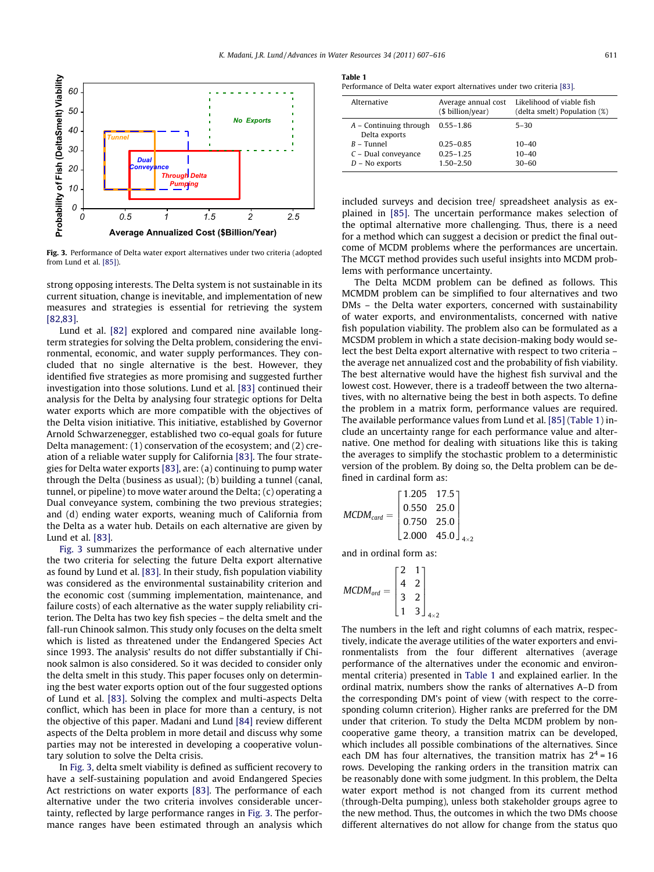Tal

<span id="page-4-0"></span>

Fig. 3. Performance of Delta water export alternatives under two criteria (adopted from Lund et al. [\[85\]\)](#page-9-0).

strong opposing interests. The Delta system is not sustainable in its current situation, change is inevitable, and implementation of new measures and strategies is essential for retrieving the system [\[82,83\]](#page-9-0).

Lund et al. [\[82\]](#page-9-0) explored and compared nine available longterm strategies for solving the Delta problem, considering the environmental, economic, and water supply performances. They concluded that no single alternative is the best. However, they identified five strategies as more promising and suggested further investigation into those solutions. Lund et al. [\[83\]](#page-9-0) continued their analysis for the Delta by analysing four strategic options for Delta water exports which are more compatible with the objectives of the Delta vision initiative. This initiative, established by Governor Arnold Schwarzenegger, established two co-equal goals for future Delta management: (1) conservation of the ecosystem; and (2) creation of a reliable water supply for California [\[83\]](#page-9-0). The four strategies for Delta water exports [\[83\],](#page-9-0) are: (a) continuing to pump water through the Delta (business as usual); (b) building a tunnel (canal, tunnel, or pipeline) to move water around the Delta; (c) operating a Dual conveyance system, combining the two previous strategies; and (d) ending water exports, weaning much of California from the Delta as a water hub. Details on each alternative are given by Lund et al. [\[83\].](#page-9-0)

Fig. 3 summarizes the performance of each alternative under the two criteria for selecting the future Delta export alternative as found by Lund et al. [\[83\].](#page-9-0) In their study, fish population viability was considered as the environmental sustainability criterion and the economic cost (summing implementation, maintenance, and failure costs) of each alternative as the water supply reliability criterion. The Delta has two key fish species – the delta smelt and the fall-run Chinook salmon. This study only focuses on the delta smelt which is listed as threatened under the Endangered Species Act since 1993. The analysis' results do not differ substantially if Chinook salmon is also considered. So it was decided to consider only the delta smelt in this study. This paper focuses only on determining the best water exports option out of the four suggested options of Lund et al. [\[83\].](#page-9-0) Solving the complex and multi-aspects Delta conflict, which has been in place for more than a century, is not the objective of this paper. Madani and Lund [\[84\]](#page-9-0) review different aspects of the Delta problem in more detail and discuss why some parties may not be interested in developing a cooperative voluntary solution to solve the Delta crisis.

In Fig. 3, delta smelt viability is defined as sufficient recovery to have a self-sustaining population and avoid Endangered Species Act restrictions on water exports [\[83\].](#page-9-0) The performance of each alternative under the two criteria involves considerable uncertainty, reflected by large performance ranges in Fig. 3. The performance ranges have been estimated through an analysis which

|  | Performance of Delta water export alternatives under two criteria [83]. |  |  |
|--|-------------------------------------------------------------------------|--|--|
|--|-------------------------------------------------------------------------|--|--|

| Alternative                               | Average annual cost<br>(\$ billion/year) | Likelihood of viable fish<br>(delta smelt) Population (%) |
|-------------------------------------------|------------------------------------------|-----------------------------------------------------------|
| $A$ – Continuing through<br>Delta exports | $0.55 - 1.86$                            | $5 - 30$                                                  |
| $B$ – Tunnel                              | $0.25 - 0.85$                            | $10 - 40$                                                 |
| $C$ – Dual conveyance                     | $0.25 - 1.25$                            | $10 - 40$                                                 |
| $D$ – No exports                          | $1.50 - 2.50$                            | $30 - 60$                                                 |
|                                           |                                          |                                                           |

included surveys and decision tree/ spreadsheet analysis as explained in [\[85\]](#page-9-0). The uncertain performance makes selection of the optimal alternative more challenging. Thus, there is a need for a method which can suggest a decision or predict the final outcome of MCDM problems where the performances are uncertain. The MCGT method provides such useful insights into MCDM problems with performance uncertainty.

The Delta MCDM problem can be defined as follows. This MCMDM problem can be simplified to four alternatives and two DMs – the Delta water exporters, concerned with sustainability of water exports, and environmentalists, concerned with native fish population viability. The problem also can be formulated as a MCSDM problem in which a state decision-making body would select the best Delta export alternative with respect to two criteria – the average net annualized cost and the probability of fish viability. The best alternative would have the highest fish survival and the lowest cost. However, there is a tradeoff between the two alternatives, with no alternative being the best in both aspects. To define the problem in a matrix form, performance values are required. The available performance values from Lund et al. [\[85\]](#page-9-0) (Table 1) include an uncertainty range for each performance value and alternative. One method for dealing with situations like this is taking the averages to simplify the stochastic problem to a deterministic version of the problem. By doing so, the Delta problem can be defined in cardinal form as:

$$
MCDM_{card} = \begin{bmatrix} 1.205 & 17.5 \\ 0.550 & 25.0 \\ 0.750 & 25.0 \\ 2.000 & 45.0 \end{bmatrix}_{4 \times 2}
$$

and in ordinal form as:

$$
MCDM_{ord} = \begin{bmatrix} 2 & 1 \\ 4 & 2 \\ 3 & 2 \\ 1 & 3 \end{bmatrix}_{4 \times 2}
$$

The numbers in the left and right columns of each matrix, respectively, indicate the average utilities of the water exporters and environmentalists from the four different alternatives (average performance of the alternatives under the economic and environmental criteria) presented in Table 1 and explained earlier. In the ordinal matrix, numbers show the ranks of alternatives A–D from the corresponding DM's point of view (with respect to the corresponding column criterion). Higher ranks are preferred for the DM under that criterion. To study the Delta MCDM problem by noncooperative game theory, a transition matrix can be developed, which includes all possible combinations of the alternatives. Since each DM has four alternatives, the transition matrix has  $2^4$  = 16 rows. Developing the ranking orders in the transition matrix can be reasonably done with some judgment. In this problem, the Delta water export method is not changed from its current method (through-Delta pumping), unless both stakeholder groups agree to the new method. Thus, the outcomes in which the two DMs choose different alternatives do not allow for change from the status quo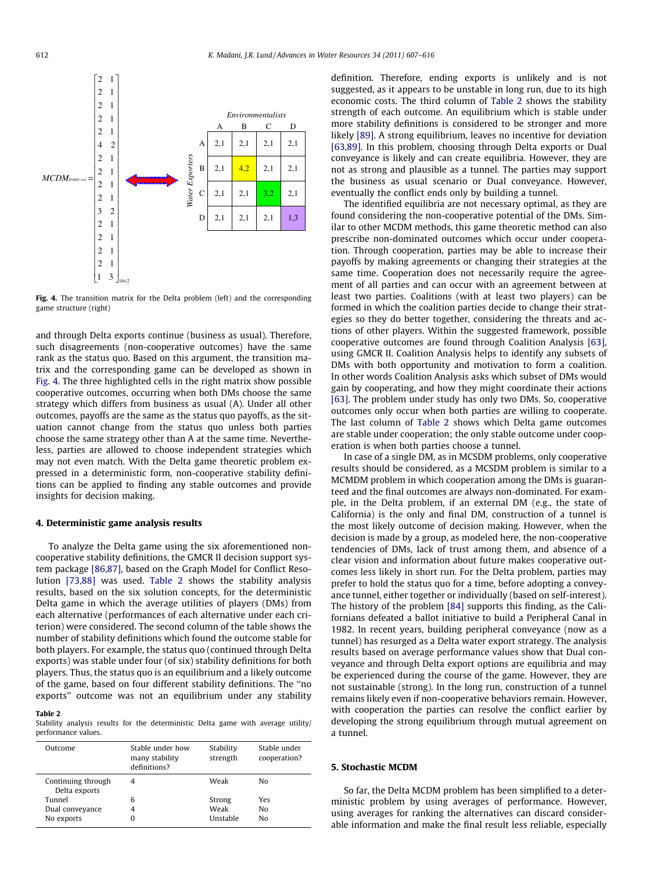

Fig. 4. The transition matrix for the Delta problem (left) and the corresponding game structure (right)

and through Delta exports continue (business as usual). Therefore, such disagreements (non-cooperative outcomes) have the same rank as the status quo. Based on this argument, the transition matrix and the corresponding game can be developed as shown in Fig. 4. The three highlighted cells in the right matrix show possible cooperative outcomes, occurring when both DMs choose the same strategy which differs from business as usual (A). Under all other outcomes, payoffs are the same as the status quo payoffs, as the situation cannot change from the status quo unless both parties choose the same strategy other than A at the same time. Nevertheless, parties are allowed to choose independent strategies which may not even match. With the Delta game theoretic problem expressed in a deterministic form, non-cooperative stability definitions can be applied to finding any stable outcomes and provide insights for decision making.

#### 4. Deterministic game analysis results

To analyze the Delta game using the six aforementioned noncooperative stability definitions, the GMCR II decision support system package [\[86,87\]](#page-9-0), based on the Graph Model for Conflict Resolution [\[73,88\]](#page-9-0) was used. Table 2 shows the stability analysis results, based on the six solution concepts, for the deterministic Delta game in which the average utilities of players (DMs) from each alternative (performances of each alternative under each criterion) were considered. The second column of the table shows the number of stability definitions which found the outcome stable for both players. For example, the status quo (continued through Delta exports) was stable under four (of six) stability definitions for both players. Thus, the status quo is an equilibrium and a likely outcome of the game, based on four different stability definitions. The ''no exports'' outcome was not an equilibrium under any stability

#### Table 2

Stability analysis results for the deterministic Delta game with average utility/ performance values.

| Outcome                             | Stable under how<br>many stability<br>definitions? | Stability<br>strength | Stable under<br>cooperation? |
|-------------------------------------|----------------------------------------------------|-----------------------|------------------------------|
| Continuing through<br>Delta exports | 4                                                  | Weak                  | No                           |
| Tunnel                              | 6                                                  | Strong                | Yes                          |
| Dual conveyance                     | 4                                                  | Weak                  | No                           |
| No exports                          | 0                                                  | Unstable              | No                           |

definition. Therefore, ending exports is unlikely and is not suggested, as it appears to be unstable in long run, due to its high economic costs. The third column of Table 2 shows the stability strength of each outcome. An equilibrium which is stable under more stability definitions is considered to be stronger and more likely [\[89\]](#page-9-0). A strong equilibrium, leaves no incentive for deviation [\[63,89\].](#page-9-0) In this problem, choosing through Delta exports or Dual conveyance is likely and can create equilibria. However, they are not as strong and plausible as a tunnel. The parties may support the business as usual scenario or Dual conveyance. However, eventually the conflict ends only by building a tunnel.

The identified equilibria are not necessary optimal, as they are found considering the non-cooperative potential of the DMs. Similar to other MCDM methods, this game theoretic method can also prescribe non-dominated outcomes which occur under cooperation. Through cooperation, parties may be able to increase their payoffs by making agreements or changing their strategies at the same time. Cooperation does not necessarily require the agreement of all parties and can occur with an agreement between at least two parties. Coalitions (with at least two players) can be formed in which the coalition parties decide to change their strategies so they do better together, considering the threats and actions of other players. Within the suggested framework, possible cooperative outcomes are found through Coalition Analysis [\[63\],](#page-9-0) using GMCR II. Coalition Analysis helps to identify any subsets of DMs with both opportunity and motivation to form a coalition. In other words Coalition Analysis asks which subset of DMs would gain by cooperating, and how they might coordinate their actions [\[63\]](#page-9-0). The problem under study has only two DMs. So, cooperative outcomes only occur when both parties are willing to cooperate. The last column of Table 2 shows which Delta game outcomes are stable under cooperation; the only stable outcome under cooperation is when both parties choose a tunnel.

In case of a single DM, as in MCSDM problems, only cooperative results should be considered, as a MCSDM problem is similar to a MCMDM problem in which cooperation among the DMs is guaranteed and the final outcomes are always non-dominated. For example, in the Delta problem, if an external DM (e.g., the state of California) is the only and final DM, construction of a tunnel is the most likely outcome of decision making. However, when the decision is made by a group, as modeled here, the non-cooperative tendencies of DMs, lack of trust among them, and absence of a clear vision and information about future makes cooperative outcomes less likely in short run. For the Delta problem, parties may prefer to hold the status quo for a time, before adopting a conveyance tunnel, either together or individually (based on self-interest). The history of the problem [\[84\]](#page-9-0) supports this finding, as the Californians defeated a ballot initiative to build a Peripheral Canal in 1982. In recent years, building peripheral conveyance (now as a tunnel) has resurged as a Delta water export strategy. The analysis results based on average performance values show that Dual conveyance and through Delta export options are equilibria and may be experienced during the course of the game. However, they are not sustainable (strong). In the long run, construction of a tunnel remains likely even if non-cooperative behaviors remain. However, with cooperation the parties can resolve the conflict earlier by developing the strong equilibrium through mutual agreement on a tunnel.

# 5. Stochastic MCDM

So far, the Delta MCDM problem has been simplified to a deterministic problem by using averages of performance. However, using averages for ranking the alternatives can discard considerable information and make the final result less reliable, especially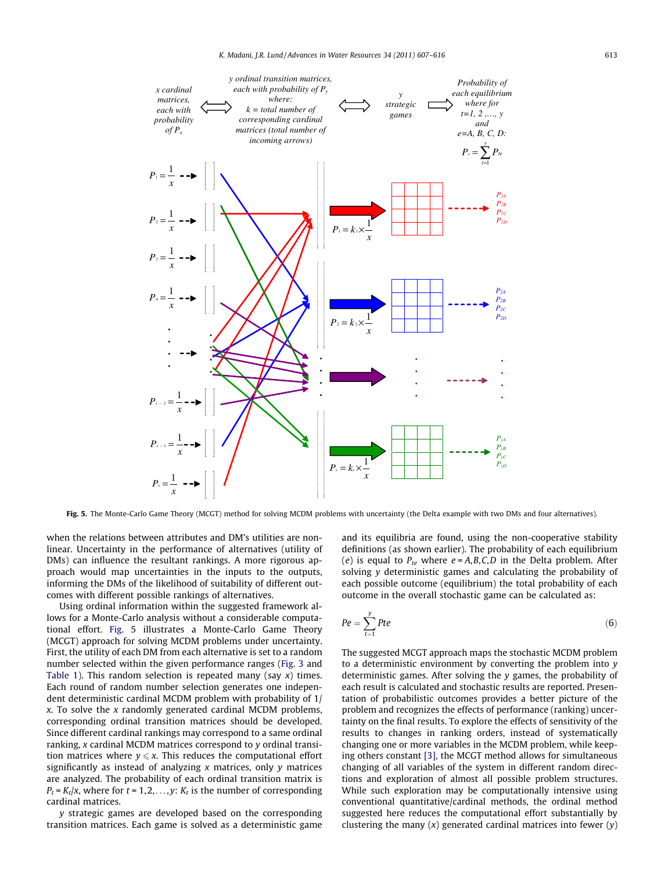

Fig. 5. The Monte-Carlo Game Theory (MCGT) method for solving MCDM problems with uncertainty (the Delta example with two DMs and four alternatives).

when the relations between attributes and DM's utilities are nonlinear. Uncertainty in the performance of alternatives (utility of DMs) can influence the resultant rankings. A more rigorous approach would map uncertainties in the inputs to the outputs, informing the DMs of the likelihood of suitability of different outcomes with different possible rankings of alternatives.

Using ordinal information within the suggested framework allows for a Monte-Carlo analysis without a considerable computational effort. Fig. 5 illustrates a Monte-Carlo Game Theory (MCGT) approach for solving MCDM problems under uncertainty. First, the utility of each DM from each alternative is set to a random number selected within the given performance ranges [\(Fig. 3](#page-4-0) and [Table 1](#page-4-0)). This random selection is repeated many (say  $x$ ) times. Each round of random number selection generates one independent deterministic cardinal MCDM problem with probability of 1/  $x$ . To solve the  $x$  randomly generated cardinal MCDM problems, corresponding ordinal transition matrices should be developed. Since different cardinal rankings may correspond to a same ordinal ranking, x cardinal MCDM matrices correspond to y ordinal transition matrices where  $y \le x$ . This reduces the computational effort significantly as instead of analyzing  $x$  matrices, only  $y$  matrices are analyzed. The probability of each ordinal transition matrix is  $P_t = K_t/x$ , where for  $t = 1, 2, \ldots, y$ :  $K_t$  is the number of corresponding cardinal matrices.

y strategic games are developed based on the corresponding transition matrices. Each game is solved as a deterministic game and its equilibria are found, using the non-cooperative stability definitions (as shown earlier). The probability of each equilibrium (e) is equal to  $P_{te}$  where  $e = A, B, C, D$  in the Delta problem. After solving y deterministic games and calculating the probability of each possible outcome (equilibrium) the total probability of each outcome in the overall stochastic game can be calculated as:

$$
Pe = \sum_{t=1}^{y} Pte \tag{6}
$$

The suggested MCGT approach maps the stochastic MCDM problem to a deterministic environment by converting the problem into y deterministic games. After solving the y games, the probability of each result is calculated and stochastic results are reported. Presentation of probabilistic outcomes provides a better picture of the problem and recognizes the effects of performance (ranking) uncertainty on the final results. To explore the effects of sensitivity of the results to changes in ranking orders, instead of systematically changing one or more variables in the MCDM problem, while keeping others constant [\[3\],](#page-8-0) the MCGT method allows for simultaneous changing of all variables of the system in different random directions and exploration of almost all possible problem structures. While such exploration may be computationally intensive using conventional quantitative/cardinal methods, the ordinal method suggested here reduces the computational effort substantially by clustering the many  $(x)$  generated cardinal matrices into fewer  $(y)$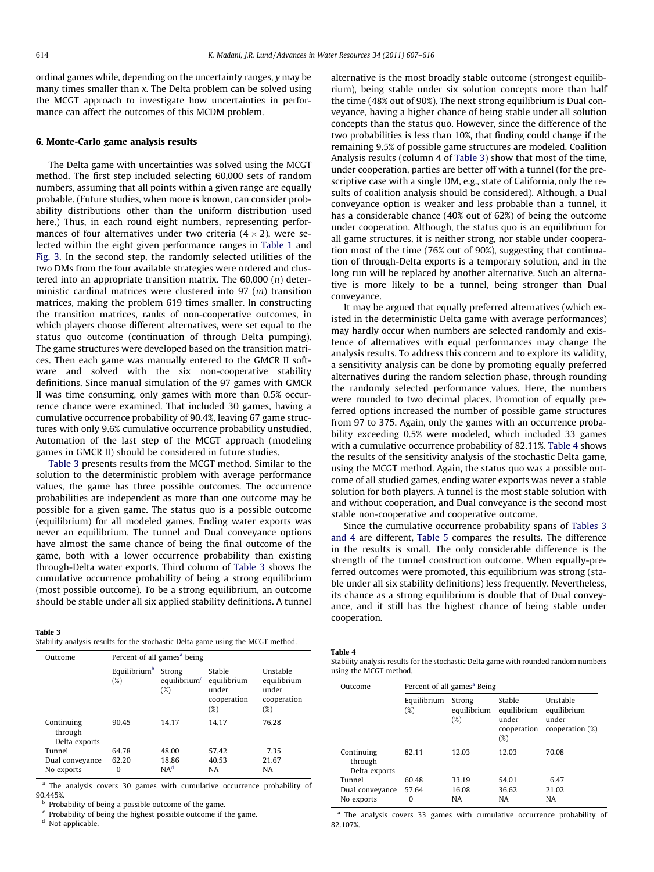<span id="page-7-0"></span>ordinal games while, depending on the uncertainty ranges, y may be many times smaller than x. The Delta problem can be solved using the MCGT approach to investigate how uncertainties in performance can affect the outcomes of this MCDM problem.

#### 6. Monte-Carlo game analysis results

The Delta game with uncertainties was solved using the MCGT method. The first step included selecting 60,000 sets of random numbers, assuming that all points within a given range are equally probable. (Future studies, when more is known, can consider probability distributions other than the uniform distribution used here.) Thus, in each round eight numbers, representing performances of four alternatives under two criteria  $(4 \times 2)$ , were selected within the eight given performance ranges in [Table 1](#page-4-0) and [Fig. 3](#page-4-0). In the second step, the randomly selected utilities of the two DMs from the four available strategies were ordered and clustered into an appropriate transition matrix. The  $60,000$   $(n)$  deterministic cardinal matrices were clustered into 97 (m) transition matrices, making the problem 619 times smaller. In constructing the transition matrices, ranks of non-cooperative outcomes, in which players choose different alternatives, were set equal to the status quo outcome (continuation of through Delta pumping). The game structures were developed based on the transition matrices. Then each game was manually entered to the GMCR II software and solved with the six non-cooperative stability definitions. Since manual simulation of the 97 games with GMCR II was time consuming, only games with more than 0.5% occurrence chance were examined. That included 30 games, having a cumulative occurrence probability of 90.4%, leaving 67 game structures with only 9.6% cumulative occurrence probability unstudied. Automation of the last step of the MCGT approach (modeling games in GMCR II) should be considered in future studies.

Table 3 presents results from the MCGT method. Similar to the solution to the deterministic problem with average performance values, the game has three possible outcomes. The occurrence probabilities are independent as more than one outcome may be possible for a given game. The status quo is a possible outcome (equilibrium) for all modeled games. Ending water exports was never an equilibrium. The tunnel and Dual conveyance options have almost the same chance of being the final outcome of the game, both with a lower occurrence probability than existing through-Delta water exports. Third column of Table 3 shows the cumulative occurrence probability of being a strong equilibrium (most possible outcome). To be a strong equilibrium, an outcome should be stable under all six applied stability definitions. A tunnel

#### Table 3

Stability analysis results for the stochastic Delta game using the MCGT method.

| Outcome                                | Percent of all games <sup>a</sup> being |                                              |                                                         |                                                                  |  |  |  |  |
|----------------------------------------|-----------------------------------------|----------------------------------------------|---------------------------------------------------------|------------------------------------------------------------------|--|--|--|--|
|                                        | Equilibrium <sup>b</sup><br>$(\%)$      | Strong<br>equilibrium <sup>e</sup><br>$(\%)$ | Stable<br>equilibrium<br>under<br>cooperation<br>$(\%)$ | <b>Unstable</b><br>equilibrium<br>under<br>cooperation<br>$(\%)$ |  |  |  |  |
| Continuing<br>through<br>Delta exports | 90.45                                   | 14.17                                        | 14.17                                                   | 76.28                                                            |  |  |  |  |
| Tunnel                                 | 6478                                    | 48.00                                        | 57.42                                                   | 7.35                                                             |  |  |  |  |
| Dual conveyance                        | 62.20                                   | 18.86                                        | 40.53                                                   | 21.67                                                            |  |  |  |  |
| No exports                             | $\Omega$                                | $NA^d$                                       | <b>NA</b>                                               | NA                                                               |  |  |  |  |

a The analysis covers 30 games with cumulative occurrence probability of 90.445%.

b Probability of being a possible outcome of the game.

 $c$  Probability of being the highest possible outcome if the game.

<sup>d</sup> Not applicable.

alternative is the most broadly stable outcome (strongest equilibrium), being stable under six solution concepts more than half the time (48% out of 90%). The next strong equilibrium is Dual conveyance, having a higher chance of being stable under all solution concepts than the status quo. However, since the difference of the two probabilities is less than 10%, that finding could change if the remaining 9.5% of possible game structures are modeled. Coalition Analysis results (column 4 of Table 3) show that most of the time, under cooperation, parties are better off with a tunnel (for the prescriptive case with a single DM, e.g., state of California, only the results of coalition analysis should be considered). Although, a Dual conveyance option is weaker and less probable than a tunnel, it has a considerable chance (40% out of 62%) of being the outcome under cooperation. Although, the status quo is an equilibrium for all game structures, it is neither strong, nor stable under cooperation most of the time (76% out of 90%), suggesting that continuation of through-Delta exports is a temporary solution, and in the long run will be replaced by another alternative. Such an alternative is more likely to be a tunnel, being stronger than Dual conveyance.

It may be argued that equally preferred alternatives (which existed in the deterministic Delta game with average performances) may hardly occur when numbers are selected randomly and existence of alternatives with equal performances may change the analysis results. To address this concern and to explore its validity, a sensitivity analysis can be done by promoting equally preferred alternatives during the random selection phase, through rounding the randomly selected performance values. Here, the numbers were rounded to two decimal places. Promotion of equally preferred options increased the number of possible game structures from 97 to 375. Again, only the games with an occurrence probability exceeding 0.5% were modeled, which included 33 games with a cumulative occurrence probability of 82.11%. Table 4 shows the results of the sensitivity analysis of the stochastic Delta game, using the MCGT method. Again, the status quo was a possible outcome of all studied games, ending water exports was never a stable solution for both players. A tunnel is the most stable solution with and without cooperation, and Dual conveyance is the second most stable non-cooperative and cooperative outcome.

Since the cumulative occurrence probability spans of Tables 3 and 4 are different, [Table 5](#page-8-0) compares the results. The difference in the results is small. The only considerable difference is the strength of the tunnel construction outcome. When equally-preferred outcomes were promoted, this equilibrium was strong (stable under all six stability definitions) less frequently. Nevertheless, its chance as a strong equilibrium is double that of Dual conveyance, and it still has the highest chance of being stable under cooperation.

Table 4

Stability analysis results for the stochastic Delta game with rounded random numbers using the MCGT method.

| Outcome                                | Percent of all games <sup>a</sup> Being |                              |                                                         |                                                        |  |  |  |  |
|----------------------------------------|-----------------------------------------|------------------------------|---------------------------------------------------------|--------------------------------------------------------|--|--|--|--|
|                                        | Equilibrium<br>$(\%)$                   | Strong<br>equilibrium<br>(%) | Stable<br>equilibrium<br>under<br>cooperation<br>$(\%)$ | Unstable<br>equilibrium<br>under<br>cooperation $(\%)$ |  |  |  |  |
| Continuing<br>through<br>Delta exports | 82.11                                   | 12.03                        | 12.03                                                   | 70.08                                                  |  |  |  |  |
| Tunnel                                 | 60.48                                   | 33.19                        | 54.01                                                   | 6.47                                                   |  |  |  |  |
| Dual conveyance                        | 57.64                                   | 16.08                        | 36.62                                                   | 21.02                                                  |  |  |  |  |
| No exports                             | 0                                       | NA                           | NA                                                      | NA                                                     |  |  |  |  |

<sup>a</sup> The analysis covers 33 games with cumulative occurrence probability of 82.107%.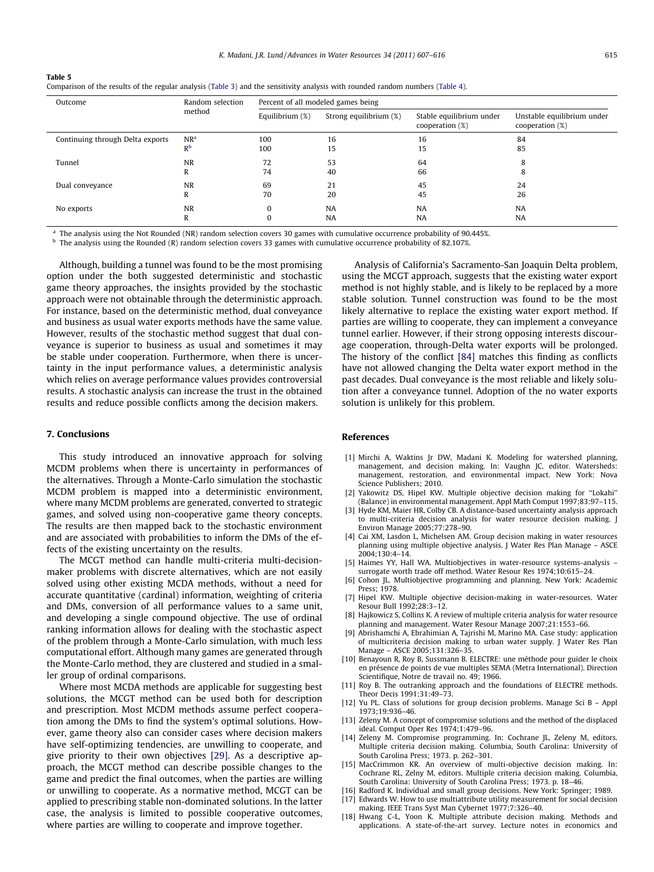<span id="page-8-0"></span>

| . . |  |
|-----|--|
|-----|--|

Comparison of the results of the regular analysis [\(Table 3\)](#page-7-0) and the sensitivity analysis with rounded random numbers ([Table 4\)](#page-7-0).

| Outcome                          | Random selection | Percent of all modeled games being        |           |                                                |                                               |  |  |  |
|----------------------------------|------------------|-------------------------------------------|-----------|------------------------------------------------|-----------------------------------------------|--|--|--|
|                                  | method           | Equilibrium (%)<br>Strong equilibrium (%) |           | Stable equilibrium under<br>cooperation $(\%)$ | Unstable equilibrium under<br>cooperation (%) |  |  |  |
| Continuing through Delta exports | NR <sup>a</sup>  | 100                                       | 16        | 16                                             | 84                                            |  |  |  |
|                                  | R <sup>b</sup>   | 100                                       | 15        | 15                                             | 85                                            |  |  |  |
| Tunnel                           | <b>NR</b>        | 72                                        | 53        | 64                                             | õ                                             |  |  |  |
|                                  | R                | 74                                        | 40        | 66                                             | 8                                             |  |  |  |
| Dual conveyance                  | <b>NR</b>        | 69                                        | 21        | 45                                             | 24                                            |  |  |  |
|                                  | R                | 70                                        | 20        | 45                                             | 26                                            |  |  |  |
| No exports                       | <b>NR</b>        | $\Omega$                                  | <b>NA</b> | <b>NA</b>                                      | <b>NA</b>                                     |  |  |  |
|                                  | R                | $\Omega$                                  | <b>NA</b> | NA                                             | <b>NA</b>                                     |  |  |  |

<sup>a</sup> The analysis using the Not Rounded (NR) random selection covers 30 games with cumulative occurrence probability of 90.445%.

<sup>b</sup> The analysis using the Rounded (R) random selection covers 33 games with cumulative occurrence probability of 82.107%.

Although, building a tunnel was found to be the most promising option under the both suggested deterministic and stochastic game theory approaches, the insights provided by the stochastic approach were not obtainable through the deterministic approach. For instance, based on the deterministic method, dual conveyance and business as usual water exports methods have the same value. However, results of the stochastic method suggest that dual conveyance is superior to business as usual and sometimes it may be stable under cooperation. Furthermore, when there is uncertainty in the input performance values, a deterministic analysis which relies on average performance values provides controversial results. A stochastic analysis can increase the trust in the obtained results and reduce possible conflicts among the decision makers.

# 7. Conclusions

This study introduced an innovative approach for solving MCDM problems when there is uncertainty in performances of the alternatives. Through a Monte-Carlo simulation the stochastic MCDM problem is mapped into a deterministic environment, where many MCDM problems are generated, converted to strategic games, and solved using non-cooperative game theory concepts. The results are then mapped back to the stochastic environment and are associated with probabilities to inform the DMs of the effects of the existing uncertainty on the results.

The MCGT method can handle multi-criteria multi-decisionmaker problems with discrete alternatives, which are not easily solved using other existing MCDA methods, without a need for accurate quantitative (cardinal) information, weighting of criteria and DMs, conversion of all performance values to a same unit, and developing a single compound objective. The use of ordinal ranking information allows for dealing with the stochastic aspect of the problem through a Monte-Carlo simulation, with much less computational effort. Although many games are generated through the Monte-Carlo method, they are clustered and studied in a smaller group of ordinal comparisons.

Where most MCDA methods are applicable for suggesting best solutions, the MCGT method can be used both for description and prescription. Most MCDM methods assume perfect cooperation among the DMs to find the system's optimal solutions. However, game theory also can consider cases where decision makers have self-optimizing tendencies, are unwilling to cooperate, and give priority to their own objectives [\[29\].](#page-9-0) As a descriptive approach, the MCGT method can describe possible changes to the game and predict the final outcomes, when the parties are willing or unwilling to cooperate. As a normative method, MCGT can be applied to prescribing stable non-dominated solutions. In the latter case, the analysis is limited to possible cooperative outcomes, where parties are willing to cooperate and improve together.

Analysis of California's Sacramento-San Joaquin Delta problem, using the MCGT approach, suggests that the existing water export method is not highly stable, and is likely to be replaced by a more stable solution. Tunnel construction was found to be the most likely alternative to replace the existing water export method. If parties are willing to cooperate, they can implement a conveyance tunnel earlier. However, if their strong opposing interests discourage cooperation, through-Delta water exports will be prolonged. The history of the conflict [\[84\]](#page-9-0) matches this finding as conflicts have not allowed changing the Delta water export method in the past decades. Dual conveyance is the most reliable and likely solution after a conveyance tunnel. Adoption of the no water exports solution is unlikely for this problem.

#### References

- [1] Mirchi A, Waktins Jr DW, Madani K. Modeling for watershed planning, management, and decision making. In: Vaughn JC, editor. Watersheds: management, restoration, and environmental impact. New York: Nova Science Publishers; 2010.
- [2] Yakowitz DS, Hipel KW. Multiple objective decision making for ''Lokahi'' (Balance) in environmental management. Appl Math Comput 1997;83:97–115.
- Hyde KM, Maier HR, Colby CB. A distance-based uncertainty analysis approach to multi-criteria decision analysis for water resource decision making. J Environ Manage 2005;77:278–90.
- [4] Cai XM, Lasdon L, Michelsen AM. Group decision making in water resources planning using multiple objective analysis. J Water Res Plan Manage – ASCE 2004;130:4–14.
- [5] Haimes YY, Hall WA. Multiobjectives in water-resource systems-analysis surrogate worth trade off method. Water Resour Res 1974;10:615–24.
- [6] Cohon JL. Multiobjective programming and planning. New York: Academic Press; 1978.
- [7] Hipel KW. Multiple objective decision-making in water-resources. Water Resour Bull 1992;28:3–12.
- [8] Hajkowicz S, Collins K. A review of multiple criteria analysis for water resource planning and management. Water Resour Manage 2007;21:1553–66.
- [9] Abrishamchi A, Ebrahimian A, Tajrishi M, Marino MA. Case study: application of multicriteria decision making to urban water supply. J Water Res Plan Manage – ASCE 2005;131:326–35.
- [10] Benayoun R, Roy B, Sussmann B. ELECTRE: une méthode pour guider le choix en présence de points de vue multiples SEMA (Metra International). Direction Scientifique, Notre de travail no. 49; 1966.
- [11] Roy B. The outranking approach and the foundations of ELECTRE methods. Theor Decis 1991;31:49–73.
- [12] Yu PL. Class of solutions for group decision problems. Manage Sci B Appl 1973;19:936–46.
- [13] Zeleny M. A concept of compromise solutions and the method of the displaced ideal. Comput Oper Res 1974;1:479–96.
- [14] Zeleny M. Compromise programming. In: Cochrane JL, Zeleny M, editors. Multiple criteria decision making. Columbia, South Carolina: University of South Carolina Press; 1973. p. 262–301.
- [15] MacCrimmon KR. An overview of multi-objective decision making. In: Cochrane RL, Zelny M, editors. Multiple criteria decision making. Columbia, South Carolina: University of South Carolina Press; 1973. p. 18–46.
- [16] Radford K. Individual and small group decisions. New York: Springer; 1989.
- [17] Edwards W. How to use multiattribute utility measurement for social decision making. IEEE Trans Syst Man Cybernet 1977;7:326–40.
- [18] Hwang C-L, Yoon K. Multiple attribute decision making. Methods and applications. A state-of-the-art survey. Lecture notes in economics and